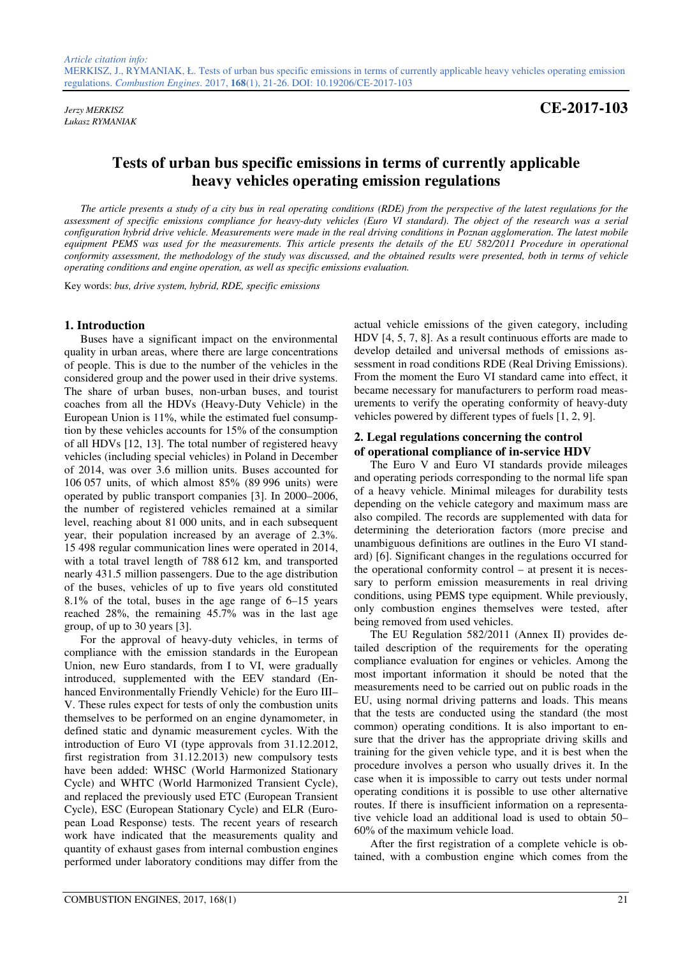*Łukasz RYMANIAK* 

*Jerzy MERKISZ* **CE-2017-103**

# **Tests of urban bus specific emissions in terms of currently applicable heavy vehicles operating emission regulations**

*The article presents a study of a city bus in real operating conditions (RDE) from the perspective of the latest regulations for the assessment of specific emissions compliance for heavy-duty vehicles (Euro VI standard). The object of the research was a serial configuration hybrid drive vehicle. Measurements were made in the real driving conditions in Poznan agglomeration. The latest mobile equipment PEMS was used for the measurements. This article presents the details of the EU 582/2011 Procedure in operational conformity assessment, the methodology of the study was discussed, and the obtained results were presented, both in terms of vehicle operating conditions and engine operation, as well as specific emissions evaluation.* 

Key words: *bus, drive system, hybrid, RDE, specific emissions* 

## **1. Introduction**

Buses have a significant impact on the environmental quality in urban areas, where there are large concentrations of people. This is due to the number of the vehicles in the considered group and the power used in their drive systems. The share of urban buses, non-urban buses, and tourist coaches from all the HDVs (Heavy-Duty Vehicle) in the European Union is 11%, while the estimated fuel consumption by these vehicles accounts for 15% of the consumption of all HDVs [12, 13]. The total number of registered heavy vehicles (including special vehicles) in Poland in December of 2014, was over 3.6 million units. Buses accounted for 106 057 units, of which almost 85% (89 996 units) were operated by public transport companies [3]. In 2000–2006, the number of registered vehicles remained at a similar level, reaching about 81 000 units, and in each subsequent year, their population increased by an average of 2.3%. 15 498 regular communication lines were operated in 2014, with a total travel length of 788 612 km, and transported nearly 431.5 million passengers. Due to the age distribution of the buses, vehicles of up to five years old constituted 8.1% of the total, buses in the age range of 6–15 years reached 28%, the remaining 45.7% was in the last age group, of up to 30 years [3].

For the approval of heavy-duty vehicles, in terms of compliance with the emission standards in the European Union, new Euro standards, from I to VI, were gradually introduced, supplemented with the EEV standard (Enhanced Environmentally Friendly Vehicle) for the Euro III– V. These rules expect for tests of only the combustion units themselves to be performed on an engine dynamometer, in defined static and dynamic measurement cycles. With the introduction of Euro VI (type approvals from 31.12.2012, first registration from 31.12.2013) new compulsory tests have been added: WHSC (World Harmonized Stationary Cycle) and WHTC (World Harmonized Transient Cycle), and replaced the previously used ETC (European Transient Cycle), ESC (European Stationary Cycle) and ELR (European Load Response) tests. The recent years of research work have indicated that the measurements quality and quantity of exhaust gases from internal combustion engines performed under laboratory conditions may differ from the

actual vehicle emissions of the given category, including HDV [4, 5, 7, 8]. As a result continuous efforts are made to develop detailed and universal methods of emissions assessment in road conditions RDE (Real Driving Emissions). From the moment the Euro VI standard came into effect, it became necessary for manufacturers to perform road measurements to verify the operating conformity of heavy-duty vehicles powered by different types of fuels [1, 2, 9].

# **2. Legal regulations concerning the control of operational compliance of in-service HDV**

The Euro V and Euro VI standards provide mileages and operating periods corresponding to the normal life span of a heavy vehicle. Minimal mileages for durability tests depending on the vehicle category and maximum mass are also compiled. The records are supplemented with data for determining the deterioration factors (more precise and unambiguous definitions are outlines in the Euro VI standard) [6]. Significant changes in the regulations occurred for the operational conformity control – at present it is necessary to perform emission measurements in real driving conditions, using PEMS type equipment. While previously, only combustion engines themselves were tested, after being removed from used vehicles.

The EU Regulation 582/2011 (Annex II) provides detailed description of the requirements for the operating compliance evaluation for engines or vehicles. Among the most important information it should be noted that the measurements need to be carried out on public roads in the EU, using normal driving patterns and loads. This means that the tests are conducted using the standard (the most common) operating conditions. It is also important to ensure that the driver has the appropriate driving skills and training for the given vehicle type, and it is best when the procedure involves a person who usually drives it. In the case when it is impossible to carry out tests under normal operating conditions it is possible to use other alternative routes. If there is insufficient information on a representative vehicle load an additional load is used to obtain 50– 60% of the maximum vehicle load.

After the first registration of a complete vehicle is obtained, with a combustion engine which comes from the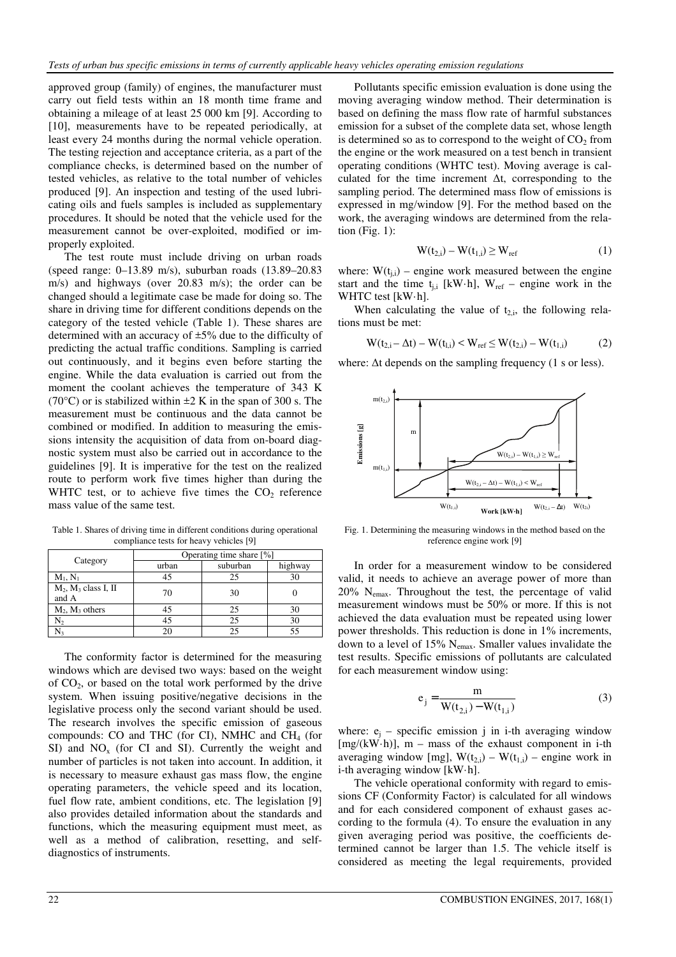approved group (family) of engines, the manufacturer must carry out field tests within an 18 month time frame and obtaining a mileage of at least 25 000 km [9]. According to [10], measurements have to be repeated periodically, at least every 24 months during the normal vehicle operation. The testing rejection and acceptance criteria, as a part of the compliance checks, is determined based on the number of tested vehicles, as relative to the total number of vehicles produced [9]. An inspection and testing of the used lubricating oils and fuels samples is included as supplementary procedures. It should be noted that the vehicle used for the measurement cannot be over-exploited, modified or improperly exploited.

The test route must include driving on urban roads (speed range: 0–13.89 m/s), suburban roads (13.89–20.83 m/s) and highways (over 20.83 m/s); the order can be changed should a legitimate case be made for doing so. The share in driving time for different conditions depends on the category of the tested vehicle (Table 1). These shares are determined with an accuracy of ±5% due to the difficulty of predicting the actual traffic conditions. Sampling is carried out continuously, and it begins even before starting the engine. While the data evaluation is carried out from the moment the coolant achieves the temperature of 343 K (70 $^{\circ}$ C) or is stabilized within  $\pm$ 2 K in the span of 300 s. The measurement must be continuous and the data cannot be combined or modified. In addition to measuring the emissions intensity the acquisition of data from on-board diagnostic system must also be carried out in accordance to the guidelines [9]. It is imperative for the test on the realized route to perform work five times higher than during the WHTC test, or to achieve five times the  $CO<sub>2</sub>$  reference mass value of the same test.

Table 1. Shares of driving time in different conditions during operational compliance tests for heavy vehicles [9]

| Category                           | Operating time share [%] |          |         |
|------------------------------------|--------------------------|----------|---------|
|                                    | urban                    | suburban | highway |
| $M_1, N_1$                         |                          | 25       |         |
| $M_2$ , $M_3$ class I, II<br>and A | 70                       | 30       |         |
| $M_2$ , $M_3$ others               | 45                       | 25       |         |
| N2                                 | 45                       | 25       | 30      |
|                                    |                          | っ        |         |

The conformity factor is determined for the measuring windows which are devised two ways: based on the weight of CO2, or based on the total work performed by the drive system. When issuing positive/negative decisions in the legislative process only the second variant should be used. The research involves the specific emission of gaseous compounds: CO and THC (for CI), NMHC and  $CH<sub>4</sub>$  (for SI) and  $NO<sub>x</sub>$  (for CI and SI). Currently the weight and number of particles is not taken into account. In addition, it is necessary to measure exhaust gas mass flow, the engine operating parameters, the vehicle speed and its location, fuel flow rate, ambient conditions, etc. The legislation [9] also provides detailed information about the standards and functions, which the measuring equipment must meet, as well as a method of calibration, resetting, and selfdiagnostics of instruments.

Pollutants specific emission evaluation is done using the moving averaging window method. Their determination is based on defining the mass flow rate of harmful substances emission for a subset of the complete data set, whose length is determined so as to correspond to the weight of  $CO<sub>2</sub>$  from the engine or the work measured on a test bench in transient operating conditions (WHTC test). Moving average is calculated for the time increment  $\Delta t$ , corresponding to the sampling period. The determined mass flow of emissions is expressed in mg/window [9]. For the method based on the work, the averaging windows are determined from the relation (Fig.  $1$ ):

$$
W(t_{2,i}) - W(t_{1,i}) \ge W_{ref} \tag{1}
$$

where:  $W(t_{i,j})$  – engine work measured between the engine start and the time t<sub>ij</sub> [kW·h], W<sub>ref</sub> – engine work in the WHTC test [kW·h].

When calculating the value of  $t_{2,i}$ , the following relations must be met:

$$
W(t_{2,i} - \Delta t) - W(t_{l,i}) < W_{ref} \le W(t_{2,i}) - W(t_{1,i}) \tag{2}
$$

where:  $\Delta t$  depends on the sampling frequency (1 s or less).



Fig. 1. Determining the measuring windows in the method based on the reference engine work [9]

In order for a measurement window to be considered valid, it needs to achieve an average power of more than 20% Nemax. Throughout the test, the percentage of valid measurement windows must be 50% or more. If this is not achieved the data evaluation must be repeated using lower power thresholds. This reduction is done in 1% increments, down to a level of 15%  $N_{\text{emax}}$ . Smaller values invalidate the test results. Specific emissions of pollutants are calculated for each measurement window using:

$$
e_j = \frac{m}{W(t_{2,i}) - W(t_{1,i})}
$$
(3)

where:  $e_j$  – specific emission j in i-th averaging window  $[mg/(kW \cdot h)]$ , m – mass of the exhaust component in i-th averaging window [mg],  $W(t_{2,i}) - W(t_{1,i})$  – engine work in i-th averaging window [kW·h].

The vehicle operational conformity with regard to emissions CF (Conformity Factor) is calculated for all windows and for each considered component of exhaust gases according to the formula (4). To ensure the evaluation in any given averaging period was positive, the coefficients determined cannot be larger than 1.5. The vehicle itself is considered as meeting the legal requirements, provided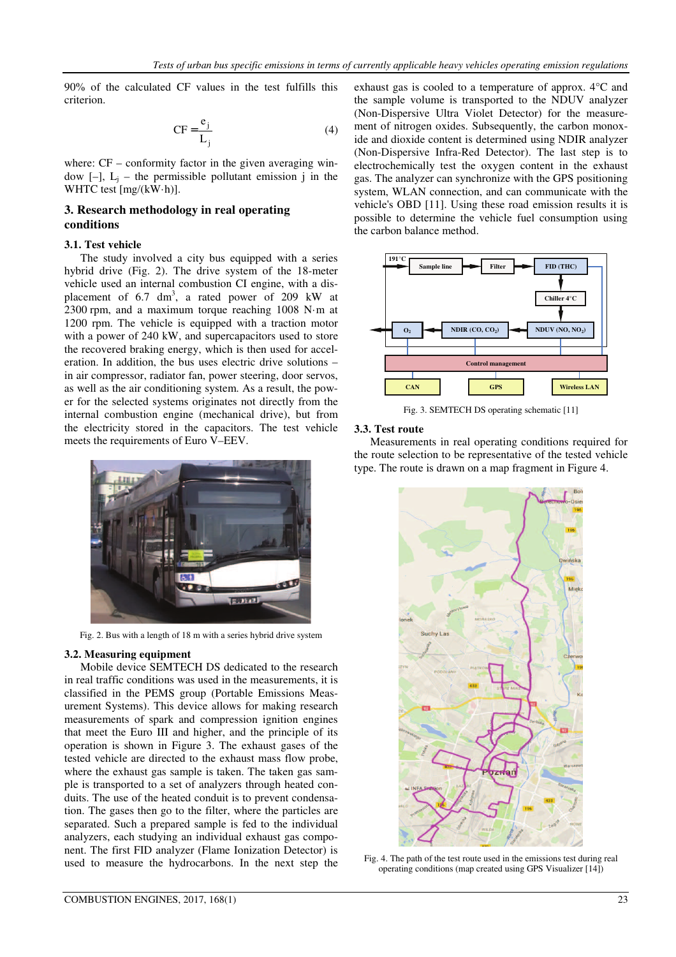90% of the calculated CF values in the test fulfills this criterion.

$$
CF = \frac{e_j}{L_j} \tag{4}
$$

where:  $CF$  – conformity factor in the given averaging window  $[-]$ ,  $L_j$  – the permissible pollutant emission j in the WHTC test [mg/(kW·h)].

# **3. Research methodology in real operating conditions**

## **3.1. Test vehicle**

The study involved a city bus equipped with a series hybrid drive (Fig. 2). The drive system of the 18-meter vehicle used an internal combustion CI engine, with a displacement of  $6.7 \text{ dm}^3$ , a rated power of 209 kW at 2300 rpm, and a maximum torque reaching 1008 N·m at 1200 rpm. The vehicle is equipped with a traction motor with a power of 240 kW, and supercapacitors used to store the recovered braking energy, which is then used for acceleration. In addition, the bus uses electric drive solutions – in air compressor, radiator fan, power steering, door servos, as well as the air conditioning system. As a result, the power for the selected systems originates not directly from the internal combustion engine (mechanical drive), but from the electricity stored in the capacitors. The test vehicle meets the requirements of Euro V–EEV.



Fig. 2. Bus with a length of 18 m with a series hybrid drive system

#### **3.2. Measuring equipment**

Mobile device SEMTECH DS dedicated to the research in real traffic conditions was used in the measurements, it is classified in the PEMS group (Portable Emissions Measurement Systems). This device allows for making research measurements of spark and compression ignition engines that meet the Euro III and higher, and the principle of its operation is shown in Figure 3. The exhaust gases of the tested vehicle are directed to the exhaust mass flow probe, where the exhaust gas sample is taken. The taken gas sample is transported to a set of analyzers through heated conduits. The use of the heated conduit is to prevent condensation. The gases then go to the filter, where the particles are separated. Such a prepared sample is fed to the individual analyzers, each studying an individual exhaust gas component. The first FID analyzer (Flame Ionization Detector) is used to measure the hydrocarbons. In the next step the exhaust gas is cooled to a temperature of approx. 4°C and the sample volume is transported to the NDUV analyzer (Non-Dispersive Ultra Violet Detector) for the measurement of nitrogen oxides. Subsequently, the carbon monoxide and dioxide content is determined using NDIR analyzer (Non-Dispersive Infra-Red Detector). The last step is to electrochemically test the oxygen content in the exhaust gas. The analyzer can synchronize with the GPS positioning system, WLAN connection, and can communicate with the vehicle's OBD [11]. Using these road emission results it is possible to determine the vehicle fuel consumption using the carbon balance method.



Fig. 3. SEMTECH DS operating schematic [11]

# **3.3. Test route**

Measurements in real operating conditions required for the route selection to be representative of the tested vehicle type. The route is drawn on a map fragment in Figure 4.



Fig. 4. The path of the test route used in the emissions test during real operating conditions (map created using GPS Visualizer [14])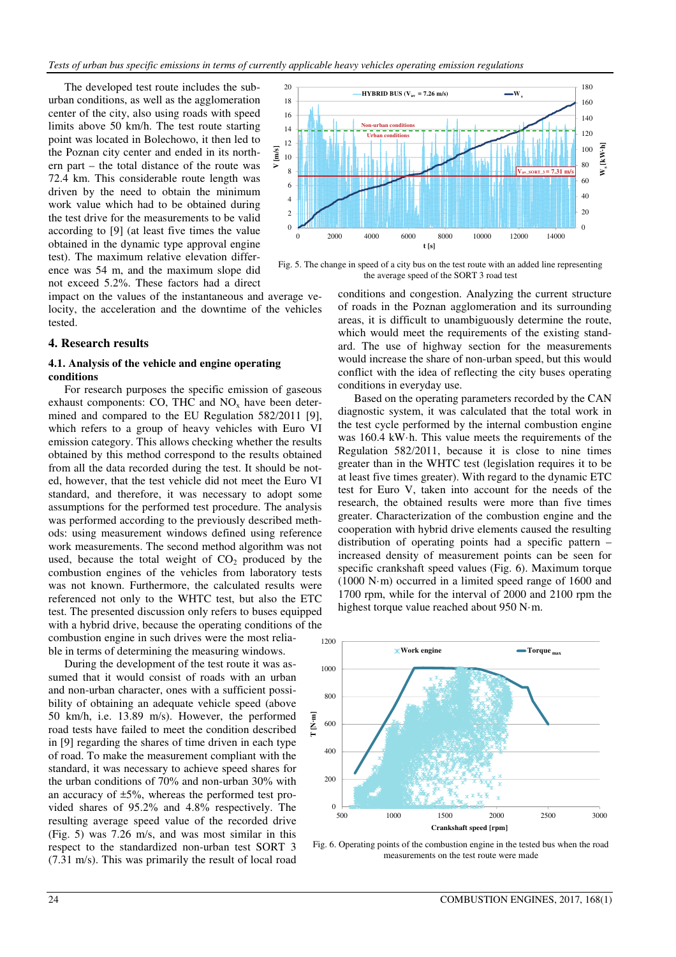The developed test route includes the suburban conditions, as well as the agglomeration center of the city, also using roads with speed limits above 50 km/h. The test route starting point was located in Bolechowo, it then led to the Poznan city center and ended in its northern part – the total distance of the route was 72.4 km. This considerable route length was driven by the need to obtain the minimum work value which had to be obtained during the test drive for the measurements to be valid according to [9] (at least five times the value obtained in the dynamic type approval engine test). The maximum relative elevation difference was 54 m, and the maximum slope did not exceed 5.2%. These factors had a direct

impact on the values of the instantaneous and average velocity, the acceleration and the downtime of the vehicles tested.

#### **4. Research results**

#### **4.1. Analysis of the vehicle and engine operating conditions**

For research purposes the specific emission of gaseous exhaust components: CO, THC and  $NO<sub>x</sub>$  have been determined and compared to the EU Regulation 582/2011 [9], which refers to a group of heavy vehicles with Euro VI emission category. This allows checking whether the results obtained by this method correspond to the results obtained from all the data recorded during the test. It should be noted, however, that the test vehicle did not meet the Euro VI standard, and therefore, it was necessary to adopt some assumptions for the performed test procedure. The analysis was performed according to the previously described methods: using measurement windows defined using reference work measurements. The second method algorithm was not used, because the total weight of  $CO<sub>2</sub>$  produced by the combustion engines of the vehicles from laboratory tests was not known. Furthermore, the calculated results were referenced not only to the WHTC test, but also the ETC test. The presented discussion only refers to buses equipped with a hybrid drive, because the operating conditions of the combustion engine in such drives were the most reliable in terms of determining the measuring windows.

During the development of the test route it was assumed that it would consist of roads with an urban and non-urban character, ones with a sufficient possibility of obtaining an adequate vehicle speed (above 50 km/h, i.e. 13.89 m/s). However, the performed road tests have failed to meet the condition described in [9] regarding the shares of time driven in each type of road. To make the measurement compliant with the standard, it was necessary to achieve speed shares for the urban conditions of 70% and non-urban 30% with an accuracy of  $\pm 5\%$ , whereas the performed test provided shares of 95.2% and 4.8% respectively. The resulting average speed value of the recorded drive (Fig. 5) was 7.26 m/s, and was most similar in this respect to the standardized non-urban test SORT 3 (7.31 m/s). This was primarily the result of local road



Fig. 5. The change in speed of a city bus on the test route with an added line representing the average speed of the SORT 3 road test

conditions and congestion. Analyzing the current structure of roads in the Poznan agglomeration and its surrounding areas, it is difficult to unambiguously determine the route, which would meet the requirements of the existing standard. The use of highway section for the measurements would increase the share of non-urban speed, but this would conflict with the idea of reflecting the city buses operating conditions in everyday use.

Based on the operating parameters recorded by the CAN diagnostic system, it was calculated that the total work in the test cycle performed by the internal combustion engine was 160.4 kW·h. This value meets the requirements of the Regulation 582/2011, because it is close to nine times greater than in the WHTC test (legislation requires it to be at least five times greater). With regard to the dynamic ETC test for Euro V, taken into account for the needs of the research, the obtained results were more than five times greater. Characterization of the combustion engine and the cooperation with hybrid drive elements caused the resulting distribution of operating points had a specific pattern – increased density of measurement points can be seen for specific crankshaft speed values (Fig. 6). Maximum torque (1000 N·m) occurred in a limited speed range of 1600 and 1700 rpm, while for the interval of 2000 and 2100 rpm the highest torque value reached about 950 N·m.



Fig. 6. Operating points of the combustion engine in the tested bus when the road measurements on the test route were made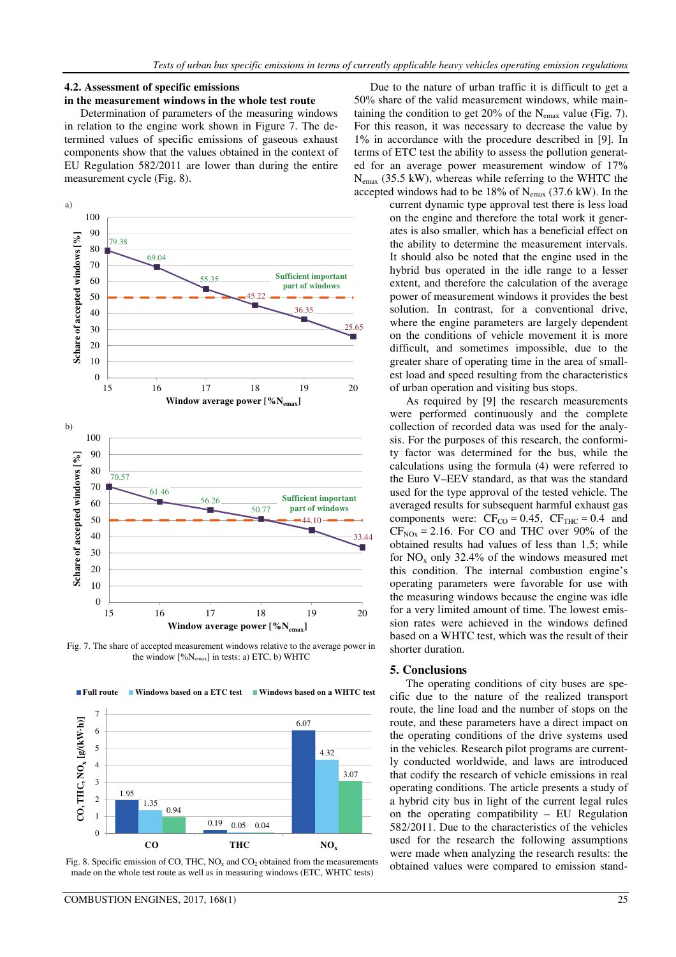#### **4.2. Assessment of specific emissions**

## **in the measurement windows in the whole test route**

Determination of parameters of the measuring windows in relation to the engine work shown in Figure 7. The determined values of specific emissions of gaseous exhaust components show that the values obtained in the context of EU Regulation 582/2011 are lower than during the entire measurement cycle (Fig. 8).



Fig. 7. The share of accepted measurement windows relative to the average power in the window [%Nemax] in tests: a) ETC, b) WHTC

■ Windows based on a ETC test ■ Windows based on a WHTC test



Fig. 8. Specific emission of CO, THC,  $NO<sub>x</sub>$  and  $CO<sub>2</sub>$  obtained from the measurements made on the whole test route as well as in measuring windows (ETC, WHTC tests)

■ Full route

Due to the nature of urban traffic it is difficult to get a 50% share of the valid measurement windows, while maintaining the condition to get  $20\%$  of the N<sub>emax</sub> value (Fig. 7). For this reason, it was necessary to decrease the value by 1% in accordance with the procedure described in [9]. In terms of ETC test the ability to assess the pollution generated for an average power measurement window of 17% Nemax (35.5 kW), whereas while referring to the WHTC the accepted windows had to be  $18\%$  of  $N_{\text{emax}}$  (37.6 kW). In the

current dynamic type approval test there is less load on the engine and therefore the total work it generates is also smaller, which has a beneficial effect on the ability to determine the measurement intervals. It should also be noted that the engine used in the hybrid bus operated in the idle range to a lesser extent, and therefore the calculation of the average power of measurement windows it provides the best solution. In contrast, for a conventional drive, where the engine parameters are largely dependent on the conditions of vehicle movement it is more difficult, and sometimes impossible, due to the greater share of operating time in the area of smallest load and speed resulting from the characteristics of urban operation and visiting bus stops.

As required by [9] the research measurements were performed continuously and the complete collection of recorded data was used for the analysis. For the purposes of this research, the conformity factor was determined for the bus, while the calculations using the formula (4) were referred to the Euro V–EEV standard, as that was the standard used for the type approval of the tested vehicle. The averaged results for subsequent harmful exhaust gas components were:  $CF_{CO} = 0.45$ ,  $CF_{THC} = 0.4$  and  $CF<sub>NOX</sub> = 2.16$ . For CO and THC over 90% of the obtained results had values of less than 1.5; while for  $NO<sub>x</sub>$  only 32.4% of the windows measured met this condition. The internal combustion engine's operating parameters were favorable for use with the measuring windows because the engine was idle for a very limited amount of time. The lowest emission rates were achieved in the windows defined based on a WHTC test, which was the result of their shorter duration.

#### **5. Conclusions**

The operating conditions of city buses are specific due to the nature of the realized transport route, the line load and the number of stops on the route, and these parameters have a direct impact on the operating conditions of the drive systems used in the vehicles. Research pilot programs are currently conducted worldwide, and laws are introduced that codify the research of vehicle emissions in real operating conditions. The article presents a study of a hybrid city bus in light of the current legal rules on the operating compatibility – EU Regulation 582/2011. Due to the characteristics of the vehicles used for the research the following assumptions were made when analyzing the research results: the obtained values were compared to emission stand